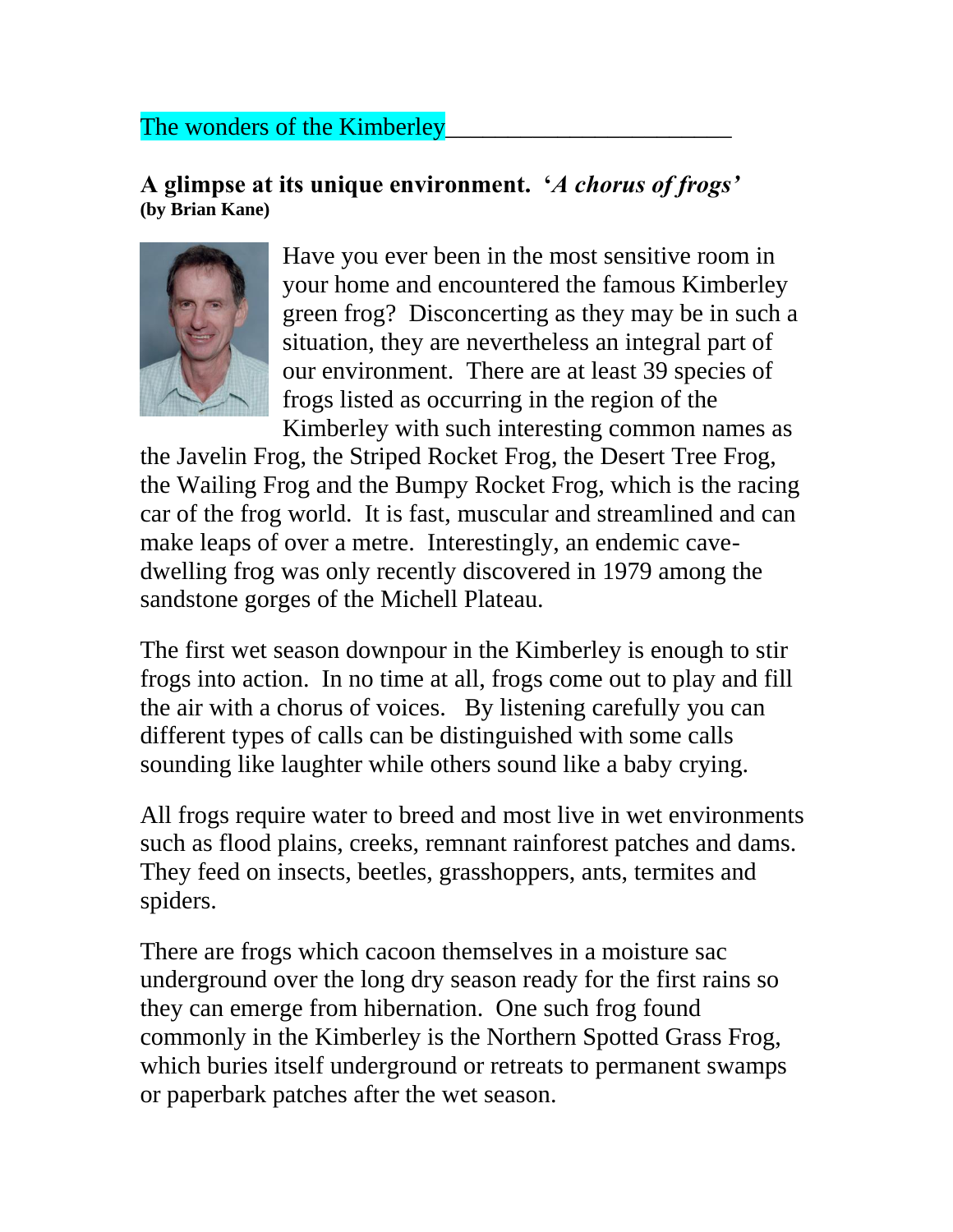## The wonders of the Kimberley

## **A glimpse at its unique environment. '***A chorus of frogs'* **(by Brian Kane)**



Have you ever been in the most sensitive room in your home and encountered the famous Kimberley green frog? Disconcerting as they may be in such a situation, they are nevertheless an integral part of our environment. There are at least 39 species of frogs listed as occurring in the region of the Kimberley with such interesting common names as

the Javelin Frog, the Striped Rocket Frog, the Desert Tree Frog, the Wailing Frog and the Bumpy Rocket Frog, which is the racing car of the frog world. It is fast, muscular and streamlined and can make leaps of over a metre. Interestingly, an endemic cavedwelling frog was only recently discovered in 1979 among the sandstone gorges of the Michell Plateau.

The first wet season downpour in the Kimberley is enough to stir frogs into action. In no time at all, frogs come out to play and fill the air with a chorus of voices. By listening carefully you can different types of calls can be distinguished with some calls sounding like laughter while others sound like a baby crying.

All frogs require water to breed and most live in wet environments such as flood plains, creeks, remnant rainforest patches and dams. They feed on insects, beetles, grasshoppers, ants, termites and spiders.

There are frogs which cacoon themselves in a moisture sac underground over the long dry season ready for the first rains so they can emerge from hibernation. One such frog found commonly in the Kimberley is the Northern Spotted Grass Frog, which buries itself underground or retreats to permanent swamps or paperbark patches after the wet season.